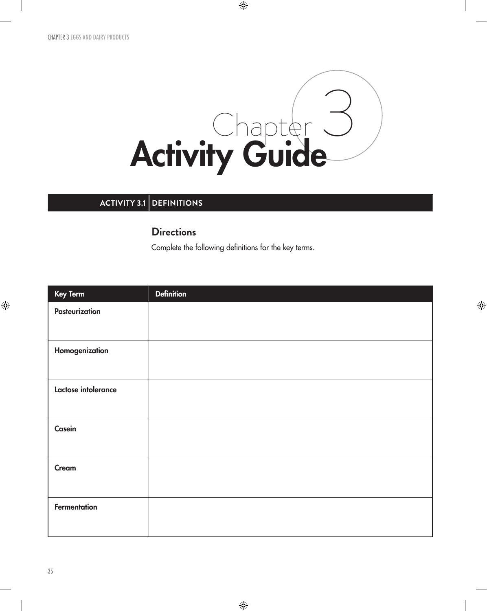

 $\bigoplus$ 

#### **ACTIVITY 3.1 DEFINITIONS**

#### **Directions**

Complete the following definitions for the key terms.

 $\bigoplus$ 

| <b>Key Term</b>     | <b>Definition</b> |
|---------------------|-------------------|
| Pasteurization      |                   |
| Homogenization      |                   |
| Lactose intolerance |                   |
| Casein              |                   |
| Cream               |                   |
| Fermentation        |                   |

 $\bigoplus$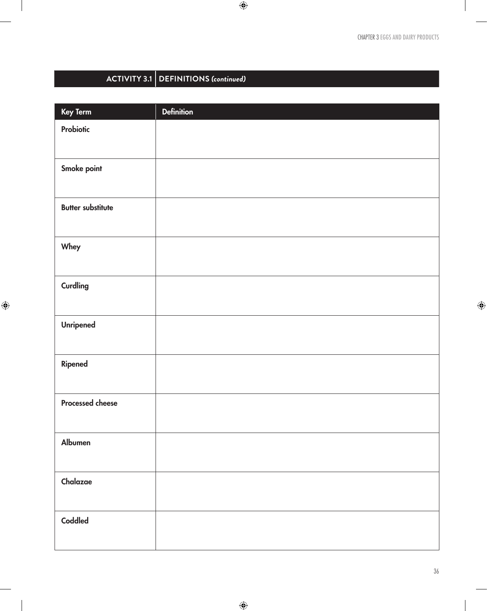$\mathbf{I}$ 

 $\bigoplus$ 

## **ACTIVITY 3.1 DEFINITIONS** *(continued)*

| Key Term                 | <b>Definition</b> |
|--------------------------|-------------------|
|                          |                   |
| Probiotic                |                   |
|                          |                   |
|                          |                   |
| Smoke point              |                   |
|                          |                   |
| <b>Butter substitute</b> |                   |
|                          |                   |
|                          |                   |
| Whey                     |                   |
|                          |                   |
|                          |                   |
| <b>Curdling</b>          |                   |
|                          |                   |
|                          |                   |
| Unripened                |                   |
|                          |                   |
|                          |                   |
| Ripened                  |                   |
|                          |                   |
|                          |                   |
| <b>Processed cheese</b>  |                   |
|                          |                   |
|                          |                   |
| Albumen                  |                   |
|                          |                   |
|                          |                   |
| Chalazae                 |                   |
|                          |                   |
|                          |                   |
| Coddled                  |                   |
|                          |                   |
|                          |                   |

 $\bigoplus$ 

 $\bigoplus$ 

 $\overline{\phantom{a}}$ 

 $\mathbf{I}$ 

36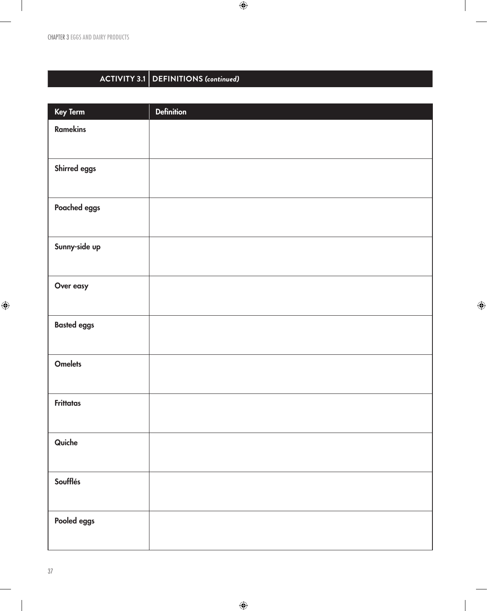$\overline{\phantom{a}}$ 

# **ACTIVITY 3.1 DEFINITIONS** *(continued)*

| <b>Key Term</b>    | <b>Definition</b> |
|--------------------|-------------------|
| <b>Ramekins</b>    |                   |
| Shirred eggs       |                   |
| Poached eggs       |                   |
| Sunny-side up      |                   |
| Over easy          |                   |
| <b>Basted eggs</b> |                   |
| <b>Omelets</b>     |                   |
| <b>Frittatas</b>   |                   |
| Quiche             |                   |
| Soufflés           |                   |
| Pooled eggs        |                   |

 $\bigoplus$ 

 $\bigoplus$ 

 $\overline{\phantom{a}}$ 

 $\bigoplus$ 

 $\overline{\phantom{a}}$ 

 $\overline{\phantom{a}}$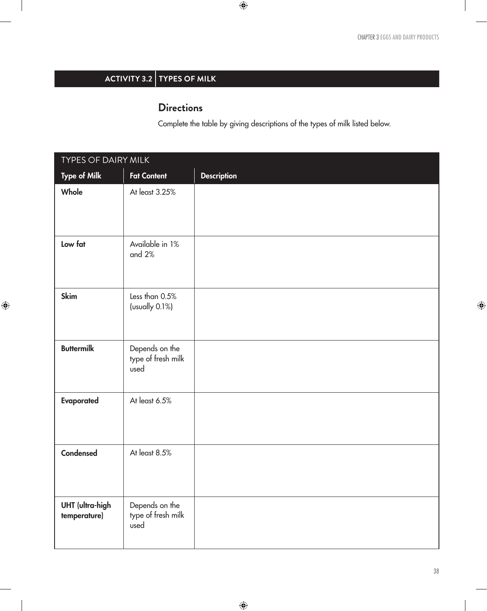# **ACTIVITY 3.2 TYPES OF MILK**

 $\bigoplus$ 

## **Directions**

Complete the table by giving descriptions of the types of milk listed below.

 $\bigoplus$ 

|                                        | <b>TYPES OF DAIRY MILK</b>                   |                    |  |  |
|----------------------------------------|----------------------------------------------|--------------------|--|--|
| <b>Type of Milk</b>                    | <b>Fat Content</b>                           | <b>Description</b> |  |  |
| Whole                                  | At least 3.25%                               |                    |  |  |
|                                        |                                              |                    |  |  |
| Low fat                                | Available in 1%<br>and 2%                    |                    |  |  |
| <b>Skim</b>                            | Less than 0.5%<br>(usually 0.1%)             |                    |  |  |
| <b>Buttermilk</b>                      | Depends on the<br>type of fresh milk<br>used |                    |  |  |
| Evaporated                             | At least 6.5%                                |                    |  |  |
| Condensed                              | At least 8.5%                                |                    |  |  |
| <b>UHT</b> (ultra-high<br>temperature) | Depends on the<br>type of fresh milk<br>used |                    |  |  |

 $\bigoplus$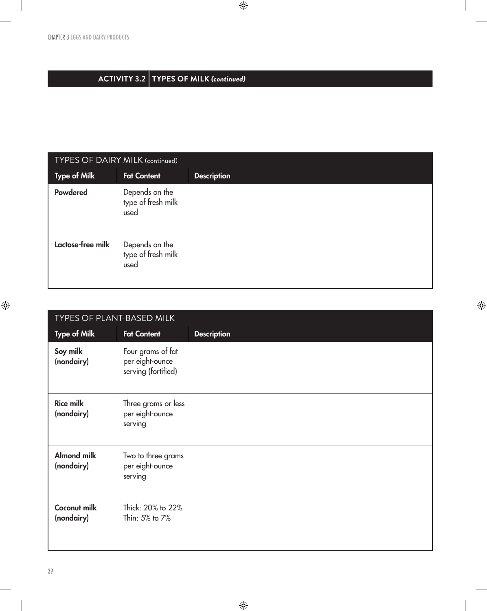CHAPTER 3 EGGS AND DAIRY PRODUCTS

## **ACTIVITY 3.2 TYPES OF MILK** *(continued)*

| <b>TYPES OF DAIRY MILK (continued)</b> |                                              |                    |  |
|----------------------------------------|----------------------------------------------|--------------------|--|
| Type of Milk                           | <b>Fat Content</b>                           | <b>Description</b> |  |
| Powdered                               | Depends on the<br>type of fresh milk<br>used |                    |  |
| Lactose-free milk                      | Depends on the<br>type of fresh milk<br>used |                    |  |

 $\bigoplus$ 

 $\bigoplus$ 

 $\bigoplus$ 

 $\mathbf{I}$ 

| <b>TYPES OF PLANT-BASED MILK</b> |                                                             |                    |  |
|----------------------------------|-------------------------------------------------------------|--------------------|--|
| <b>Type of Milk</b>              | <b>Fat Content</b>                                          | <b>Description</b> |  |
| Soy milk<br>(nondairy)           | Four grams of fat<br>per eight-ounce<br>serving (fortified) |                    |  |
| <b>Rice milk</b><br>(nondairy)   | Three grams or less<br>per eight-ounce<br>serving           |                    |  |
| <b>Almond milk</b><br>(nondairy) | Two to three grams<br>per eight-ounce<br>serving            |                    |  |
| Coconut milk<br>(nondairy)       | Thick: 20% to 22%<br>Thin: 5% to 7%                         |                    |  |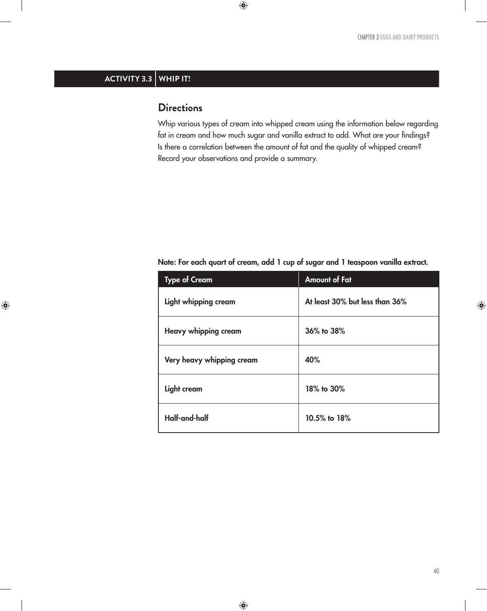### $ACTIVITY 3.3 | WHIP IT!$

 $\bigoplus$ 

### **Directions**

Whip various types of cream into whipped cream using the information below regarding fat in cream and how much sugar and vanilla extract to add. What are your findings? Is there a correlation between the amount of fat and the quality of whipped cream? Record your observations and provide a summary.

 $\bigoplus$ 

#### Note: For each quart of cream, add 1 cup of sugar and 1 teaspoon vanilla extract.

| <b>Type of Cream</b>        | <b>Amount of Fat</b>           |
|-----------------------------|--------------------------------|
| Light whipping cream        | At least 30% but less than 36% |
| <b>Heavy whipping cream</b> | 36% to 38%                     |
| Very heavy whipping cream   | 40%                            |
| Light cream                 | 18% to 30%                     |
| Half-and-half               | 10.5% to 18%                   |

⊕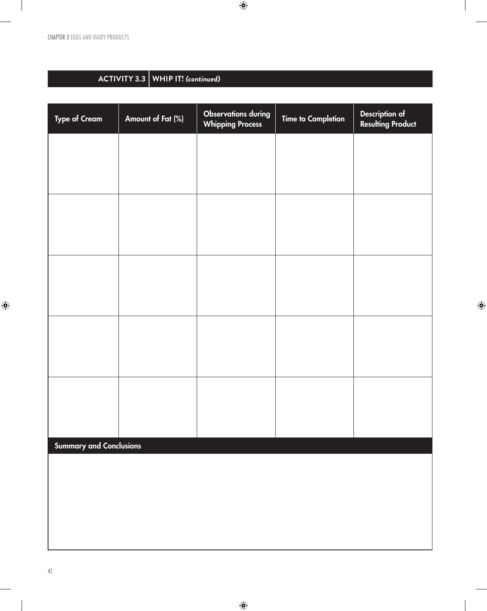$\overline{\phantom{a}}$ 

 $\bigoplus$ 

| ACTIVITY 3.3   WHICH IT! (continued) |                   |                                                       |                           |                                                   |
|--------------------------------------|-------------------|-------------------------------------------------------|---------------------------|---------------------------------------------------|
| Type of Cream                        | Amount of Fat (%) | <b>Observations during</b><br><b>Whipping Process</b> | <b>Time to Completion</b> | <b>Description of</b><br><b>Resulting Product</b> |
|                                      |                   |                                                       |                           |                                                   |
|                                      |                   |                                                       |                           |                                                   |
|                                      |                   |                                                       |                           |                                                   |
|                                      |                   |                                                       |                           |                                                   |
|                                      |                   |                                                       |                           |                                                   |
|                                      |                   |                                                       |                           |                                                   |
|                                      |                   |                                                       |                           |                                                   |
|                                      |                   |                                                       |                           |                                                   |
|                                      |                   |                                                       |                           |                                                   |
|                                      |                   |                                                       |                           |                                                   |
| <b>Summary and Conclusions</b>       |                   |                                                       |                           |                                                   |
|                                      |                   |                                                       |                           |                                                   |
|                                      |                   |                                                       |                           |                                                   |
|                                      |                   |                                                       |                           |                                                   |

 $\bigoplus$ 

a sa kacamatan ing Kabupatèn Kabupatèn Ing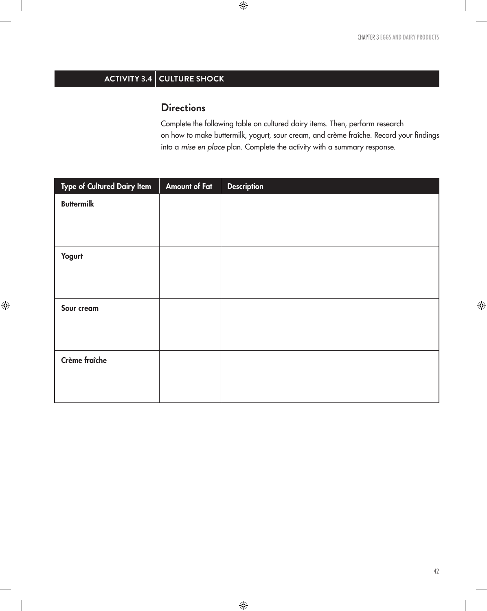## **ACTIVITY 3.4 CULTURE SHOCK**

### **Directions**

Complete the following table on cultured dairy items. Then, perform research on how to make buttermilk, yogurt, sour cream, and crème fraîche. Record your findings into a *mise en place* plan. Complete the activity with a summary response.

| Type of Cultured Dairy Item | <b>Amount of Fat</b> | <b>Description</b> |
|-----------------------------|----------------------|--------------------|
| <b>Buttermilk</b>           |                      |                    |
|                             |                      |                    |
|                             |                      |                    |
| Yogurt                      |                      |                    |
|                             |                      |                    |
|                             |                      |                    |
| Sour cream                  |                      |                    |
|                             |                      |                    |
|                             |                      |                    |
| Crème fraîche               |                      |                    |
|                             |                      |                    |
|                             |                      |                    |

 $\bigoplus$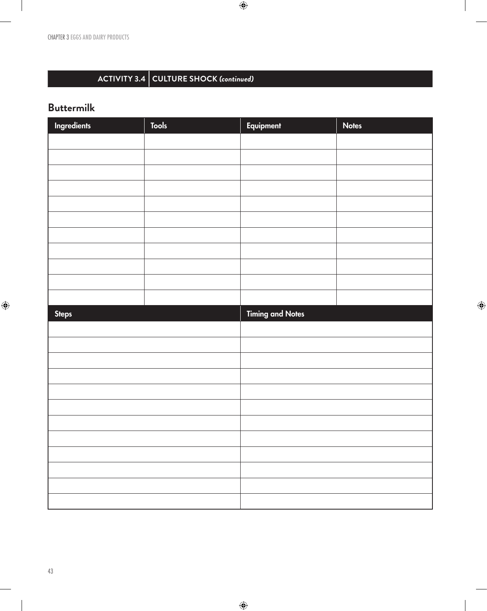# **ACTIVITY 3.4 CULTURE SHOCK** *(continued)*

## **Buttermilk**

 $\mathbb{I}$ 

| Ingredients  | <b>Tools</b> | Equipment               | <b>Notes</b> |
|--------------|--------------|-------------------------|--------------|
|              |              |                         |              |
|              |              |                         |              |
|              |              |                         |              |
|              |              |                         |              |
|              |              |                         |              |
|              |              |                         |              |
|              |              |                         |              |
|              |              |                         |              |
|              |              |                         |              |
|              |              |                         |              |
|              |              |                         |              |
| <b>Steps</b> |              | <b>Timing and Notes</b> |              |
|              |              |                         |              |
|              |              |                         |              |
|              |              |                         |              |
|              |              |                         |              |
|              |              |                         |              |
|              |              |                         |              |
|              |              |                         |              |
|              |              |                         |              |
|              |              |                         |              |
|              |              |                         |              |
|              |              |                         |              |
|              |              |                         |              |

 $\bigoplus$ 

 $\bigoplus$ 

 $\overline{\phantom{a}}$ 

 $\bigoplus$ 

 $\overline{\phantom{a}}$ 

 $\begin{array}{c} \hline \end{array}$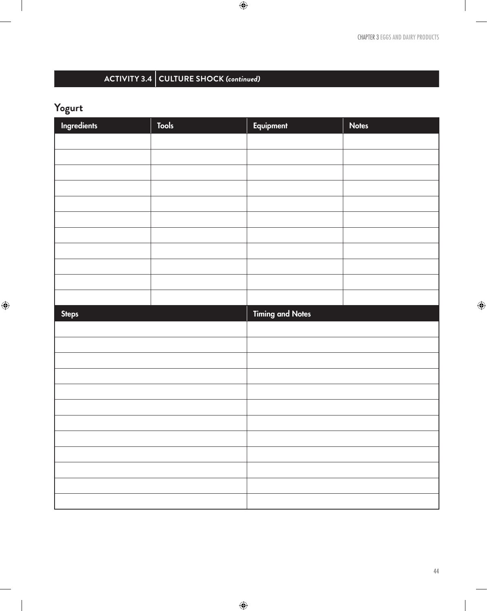$\overline{\phantom{a}}$ 

# **ACTIVITY 3.4 CULTURE SHOCK** *(continued)*

# **Yogurt**

 $\mathbb{I}$ 

 $\bigoplus$ 

 $\begin{array}{c} \hline \end{array}$ 

| Ingredients  | <b>Tools</b> | Equipment               | <b>Notes</b> |
|--------------|--------------|-------------------------|--------------|
|              |              |                         |              |
|              |              |                         |              |
|              |              |                         |              |
|              |              |                         |              |
|              |              |                         |              |
|              |              |                         |              |
|              |              |                         |              |
|              |              |                         |              |
|              |              |                         |              |
|              |              |                         |              |
|              |              |                         |              |
| <b>Steps</b> |              | <b>Timing and Notes</b> |              |
|              |              |                         |              |
|              |              |                         |              |
|              |              |                         |              |
|              |              |                         |              |
|              |              |                         |              |
|              |              |                         |              |
|              |              |                         |              |
|              |              |                         |              |
|              |              |                         |              |
|              |              |                         |              |
|              |              |                         |              |
|              |              |                         |              |

 $\bigoplus$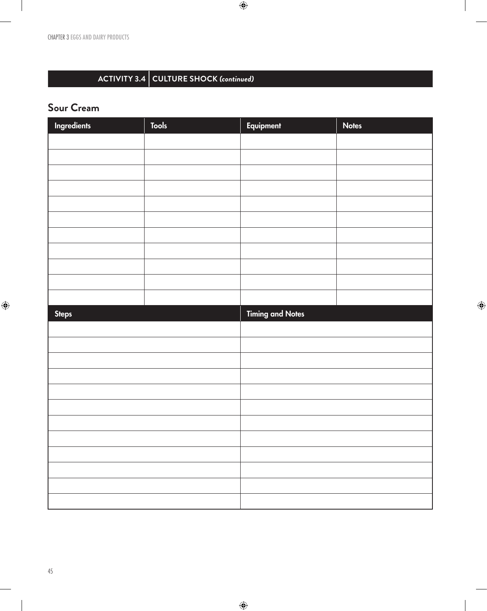$\overline{\phantom{a}}$ 

# **ACTIVITY 3.4 CULTURE SHOCK** *(continued)*

# **Sour Cream**

| Ingredients  | <b>Tools</b> | Equipment               | <b>Notes</b> |
|--------------|--------------|-------------------------|--------------|
|              |              |                         |              |
|              |              |                         |              |
|              |              |                         |              |
|              |              |                         |              |
|              |              |                         |              |
|              |              |                         |              |
|              |              |                         |              |
|              |              |                         |              |
|              |              |                         |              |
|              |              |                         |              |
|              |              |                         |              |
| <b>Steps</b> |              | <b>Timing and Notes</b> |              |
|              |              |                         |              |
|              |              |                         |              |
|              |              |                         |              |
|              |              |                         |              |
|              |              |                         |              |
|              |              |                         |              |
|              |              |                         |              |
|              |              |                         |              |
|              |              |                         |              |
|              |              |                         |              |
|              |              |                         |              |
|              |              |                         |              |

 $\bigoplus$ 

 $\bigoplus$ 

 $\mathbf{I}$ 

 $\bigoplus$ 

 $\begin{array}{c} \hline \end{array}$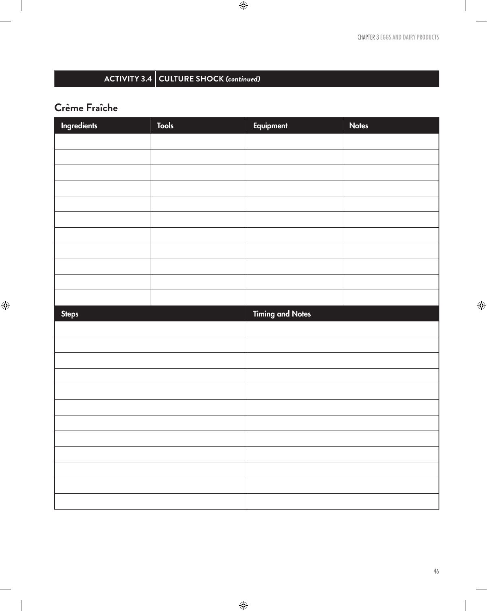# **ACTIVITY 3.4 CULTURE SHOCK** *(continued)*

## **Crème Fraîche**

 $\bigoplus$ 

 $\overline{\phantom{a}}$ 

| Ingredients  | <b>Tools</b> | Equipment               | <b>Notes</b> |
|--------------|--------------|-------------------------|--------------|
|              |              |                         |              |
|              |              |                         |              |
|              |              |                         |              |
|              |              |                         |              |
|              |              |                         |              |
|              |              |                         |              |
|              |              |                         |              |
|              |              |                         |              |
|              |              |                         |              |
|              |              |                         |              |
|              |              |                         |              |
| <b>Steps</b> |              | <b>Timing and Notes</b> |              |
|              |              |                         |              |
|              |              |                         |              |
|              |              |                         |              |
|              |              |                         |              |
|              |              |                         |              |
|              |              |                         |              |
|              |              |                         |              |
|              |              |                         |              |
|              |              |                         |              |
|              |              |                         |              |
|              |              |                         |              |
|              |              |                         |              |

 $\bigoplus$ 

 $\bigoplus$ 

46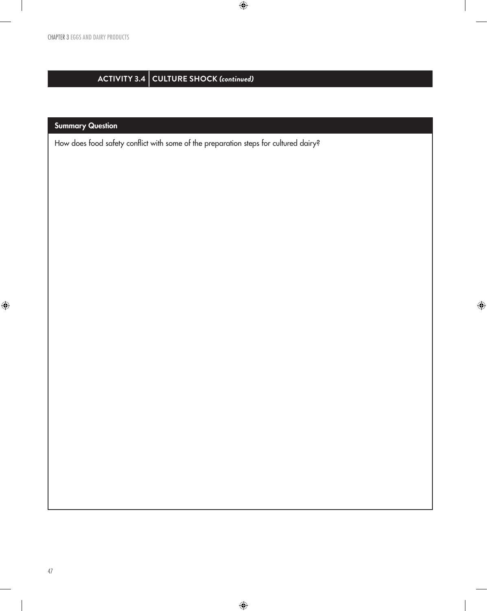CHAPTER 3 EGGS AND DAIRY PRODUCTS

## **ACTIVITY 3.4 CULTURE SHOCK** *(continued)*

 $\bigoplus$ 

 $\bigoplus$ 

 $\bigoplus$ 

#### Summary Question

How does food safety conflict with some of the preparation steps for cultured dairy?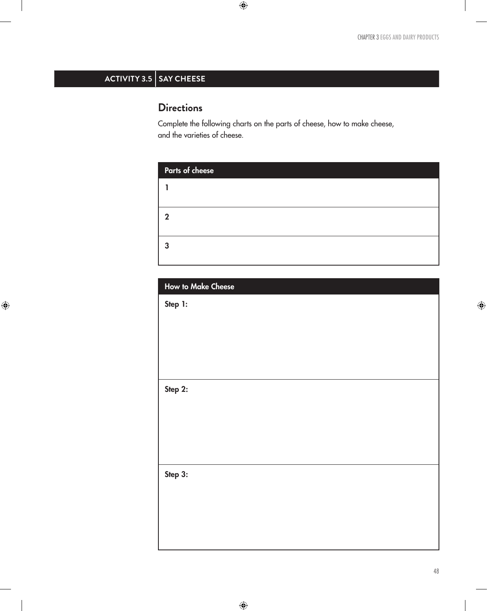# **ACTIVITY 3.5** SAY CHEESE

 $\bigoplus$ 

## **Directions**

Complete the following charts on the parts of cheese, how to make cheese, and the varieties of cheese.

 $\bigoplus$ 

| Parts of cheese |  |
|-----------------|--|
|                 |  |
| 2               |  |
| 3               |  |

| <b>How to Make Cheese</b> |  |  |
|---------------------------|--|--|
| Step 1:                   |  |  |
|                           |  |  |
|                           |  |  |
|                           |  |  |
|                           |  |  |
|                           |  |  |
| Step 2:                   |  |  |
|                           |  |  |
|                           |  |  |
|                           |  |  |
|                           |  |  |
|                           |  |  |
| Step 3:                   |  |  |
|                           |  |  |
|                           |  |  |
|                           |  |  |
|                           |  |  |
|                           |  |  |

 $\bigoplus$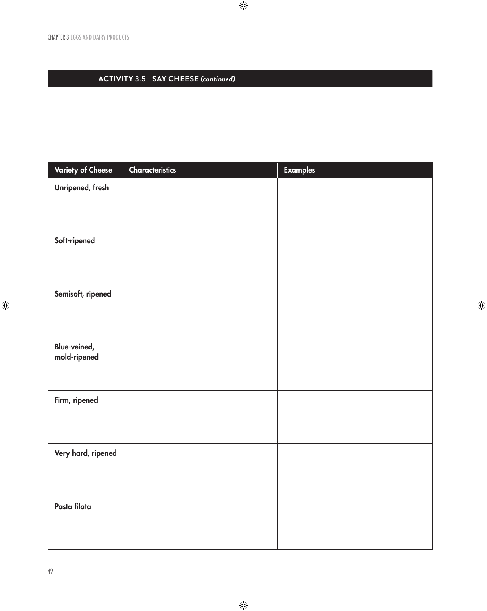$\overline{\phantom{a}}$ 

## **ACTIVITY 3.5 SAY CHEESE** *(continued)*

| <b>Variety of Cheese</b> | <b>Characteristics</b> | <b>Examples</b> |
|--------------------------|------------------------|-----------------|
| Unripened, fresh         |                        |                 |
|                          |                        |                 |
|                          |                        |                 |
| Soft-ripened             |                        |                 |
|                          |                        |                 |
|                          |                        |                 |
|                          |                        |                 |
| Semisoft, ripened        |                        |                 |
|                          |                        |                 |
|                          |                        |                 |
| Blue-veined,             |                        |                 |
| mold-ripened             |                        |                 |
|                          |                        |                 |
| Firm, ripened            |                        |                 |
|                          |                        |                 |
|                          |                        |                 |
|                          |                        |                 |
| Very hard, ripened       |                        |                 |
|                          |                        |                 |
|                          |                        |                 |
| Pasta filata             |                        |                 |
|                          |                        |                 |
|                          |                        |                 |

 $\bigoplus$ 

 $\bigoplus$ 

 $\bigoplus$ 

 $\overline{\phantom{a}}$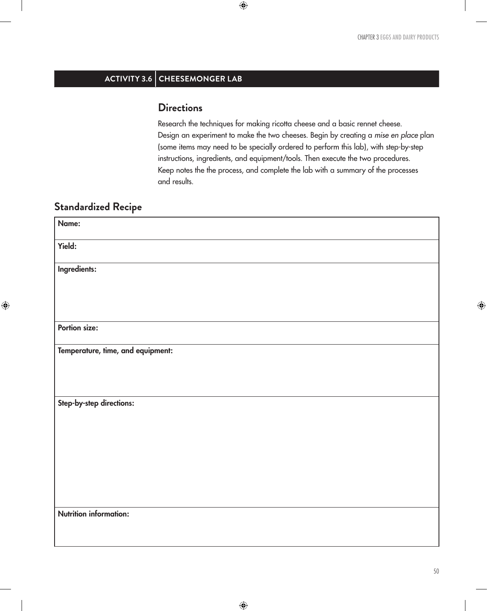## **ACTIVITY 3.6 CHEESEMONGER LAB**

### **Directions**

Research the techniques for making ricotta cheese and a basic rennet cheese. Design an experiment to make the two cheeses. Begin by creating a *mise en place* plan (some items may need to be specially ordered to perform this lab), with step-by-step instructions, ingredients, and equipment/tools. Then execute the two procedures. Keep notes the the process, and complete the lab with a summary of the processes and results.

## **Standardized Recipe**

 $\bigoplus$ 

 $\bigoplus$ 

 $\bigoplus$ 

⊕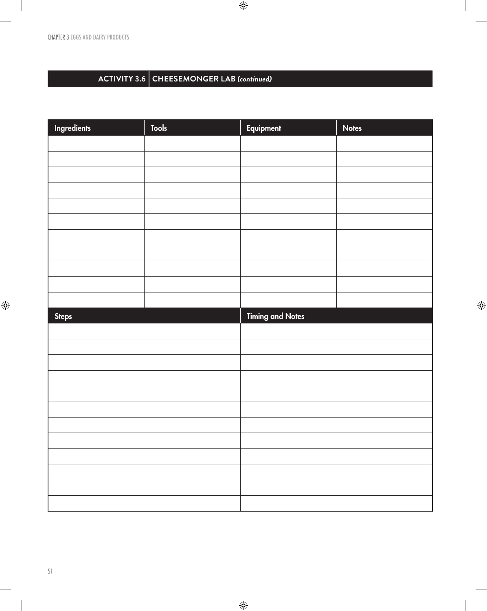CHAPTER 3 EGGS AND DAIRY PRODUCTS

 $\mathbf{I}$ 

# **ACTIVITY 3.6 CHEESEMONGER LAB** *(continued)*

Ingredients | Tools | Equipment | Notes  $\begin{array}{|c|c|c|c|c|}\hline \text{Steps} & \text{Iiming and Notes}\ \hline \end{array}$ 

 $\bigoplus$ 

 $\bigoplus$ 

 $\bigoplus$ 

51

 $\begin{array}{c} \hline \end{array}$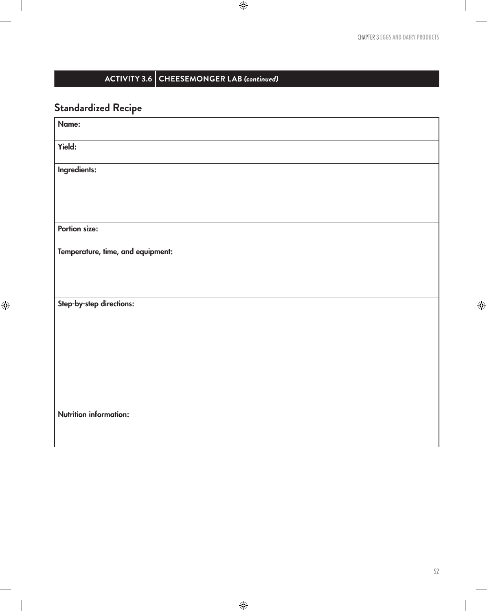# **ACTIVITY 3.6 CHEESEMONGER LAB** *(continued)*

# **Standardized Recipe**

 $\bigoplus$ 

 $\overline{\phantom{a}}$ 

| Name:                             |
|-----------------------------------|
| Yield:                            |
| Ingredients:                      |
|                                   |
|                                   |
| Portion size:                     |
| Temperature, time, and equipment: |
|                                   |
| Step-by-step directions:          |
|                                   |
|                                   |
|                                   |
|                                   |
| <b>Nutrition information:</b>     |
|                                   |

 $\bigoplus$ 

 $\bigoplus$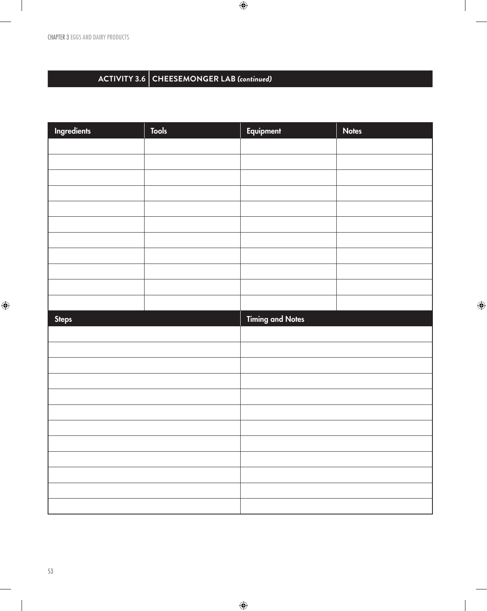CHAPTER 3 EGGS AND DAIRY PRODUCTS

 $\mathbf{I}$ 

# **ACTIVITY 3.6 CHEESEMONGER LAB** *(continued)*

Ingredients | Tools | Tools | Equipment | Notes Steps Timing and Notes

 $\bigoplus$ 

 $\bigoplus$ 

 $\overline{\phantom{a}}$ 

 $\bigoplus$ 

53

 $\begin{array}{c} \hline \end{array}$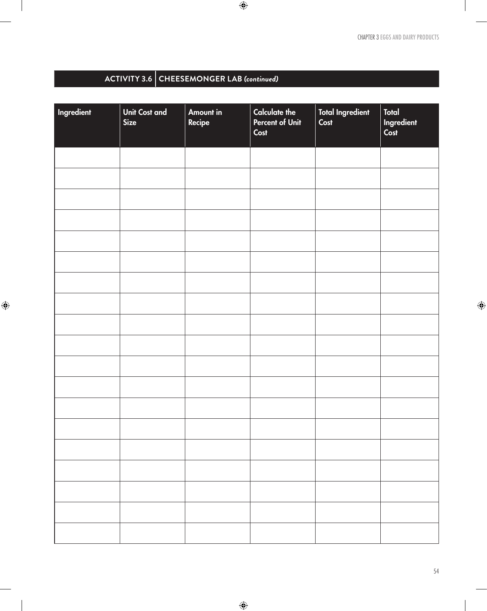$\overline{\phantom{a}}$ 

 $\bigoplus$ 

# **ACTIVITY 3.6 CHEESEMONGER LAB** *(continued)*

 $\mathcal{L}$ 

 $\bigoplus$ 

 $\overline{\phantom{a}}$ 

| Ingredient | <b>Unit Cost and</b><br><b>Size</b> | <b>Amount in</b><br>Recipe | <b>Calculate the</b><br><b>Percent of Unit</b><br>Cost | Total Ingredient<br>Cost | Total<br><b>Ingredient</b><br>Cost |
|------------|-------------------------------------|----------------------------|--------------------------------------------------------|--------------------------|------------------------------------|
|            |                                     |                            |                                                        |                          |                                    |
|            |                                     |                            |                                                        |                          |                                    |
|            |                                     |                            |                                                        |                          |                                    |
|            |                                     |                            |                                                        |                          |                                    |
|            |                                     |                            |                                                        |                          |                                    |
|            |                                     |                            |                                                        |                          |                                    |
|            |                                     |                            |                                                        |                          |                                    |
|            |                                     |                            |                                                        |                          |                                    |
|            |                                     |                            |                                                        |                          |                                    |
|            |                                     |                            |                                                        |                          |                                    |
|            |                                     |                            |                                                        |                          |                                    |
|            |                                     |                            |                                                        |                          |                                    |
|            |                                     |                            |                                                        |                          |                                    |
|            |                                     |                            |                                                        |                          |                                    |
|            |                                     |                            |                                                        |                          |                                    |
|            |                                     |                            |                                                        |                          |                                    |
|            |                                     |                            |                                                        |                          |                                    |
|            |                                     |                            |                                                        |                          |                                    |
|            |                                     |                            |                                                        |                          |                                    |

 $\bigoplus$ 

 $\bigoplus$ 

54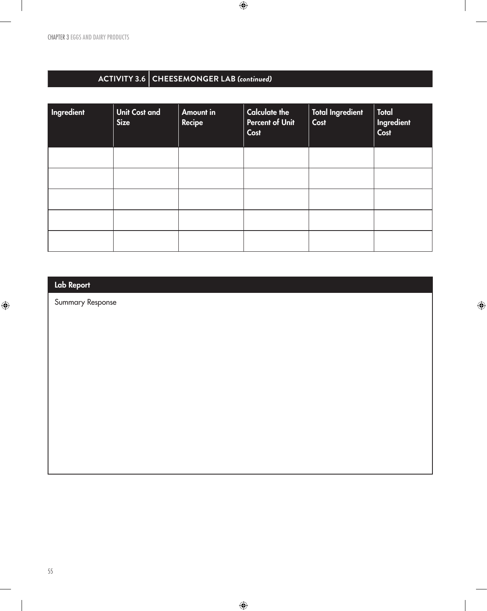## **ACTIVITY 3.6 CHEESEMONGER LAB** *(continued)*

| Ingredient | Unit Cost and<br><b>Size</b> | <b>Amount in</b><br>Recipe | <b>Calculate the</b><br><b>Percent of Unit</b><br>Cost | <b>Total Ingredient</b><br>Cost | <b>Total</b><br>Ingredient<br>Cost |
|------------|------------------------------|----------------------------|--------------------------------------------------------|---------------------------------|------------------------------------|
|            |                              |                            |                                                        |                                 |                                    |
|            |                              |                            |                                                        |                                 |                                    |
|            |                              |                            |                                                        |                                 |                                    |
|            |                              |                            |                                                        |                                 |                                    |
|            |                              |                            |                                                        |                                 |                                    |

 $\bigoplus$ 

 $\bigoplus$ 

#### Lab Report

 $\bigoplus$ 

Summary Response

 $\overline{\phantom{a}}$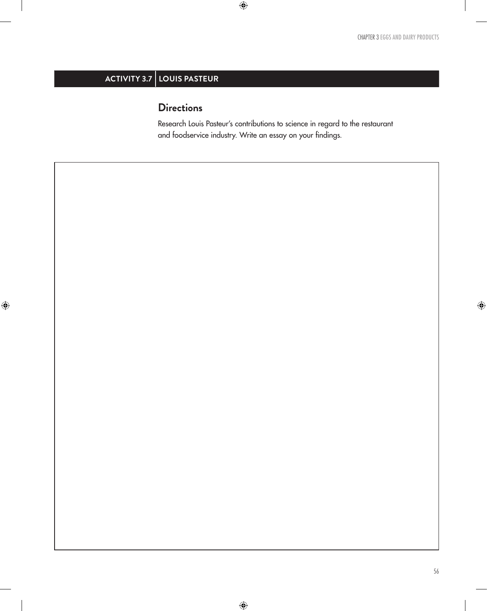## **ACTIVITY 3.7 LOUIS PASTEUR**

 $\bigoplus$ 

## **Directions**

Research Louis Pasteur's contributions to science in regard to the restaurant and foodservice industry. Write an essay on your findings.

 $\bigoplus$ 

 $\bigoplus$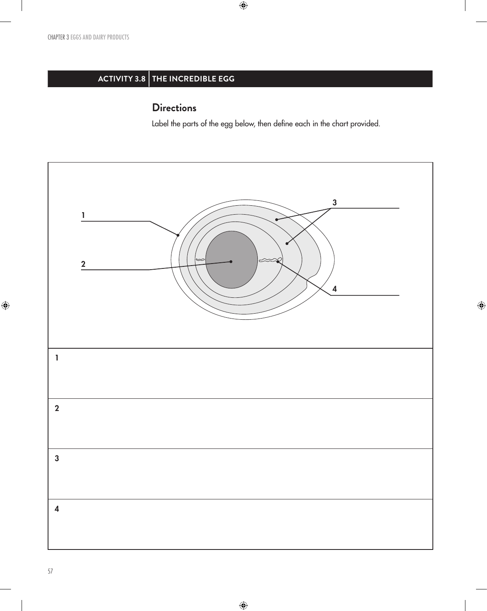## **ACTIVITY 3.8 THE INCREDIBLE EGG**

## **Directions**

Label the parts of the egg below, then define each in the chart provided.

 $\bigoplus$ 



 $\bigoplus$ 

 $\bigoplus$ 

57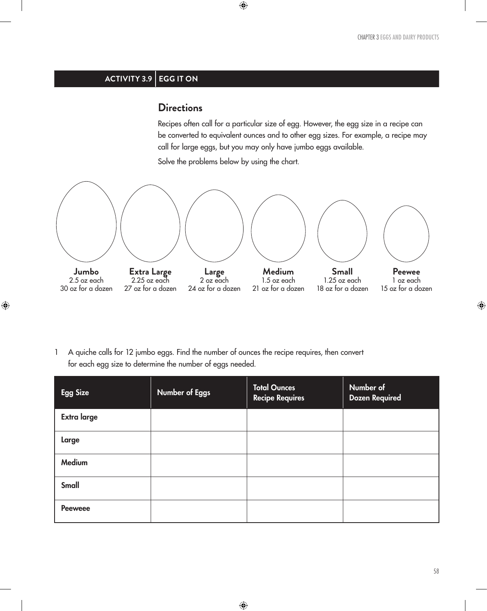### **ACTIVITY 3.9 EGG IT ON**

 $\bigoplus$ 

#### **Directions**

Recipes often call for a particular size of egg. However, the egg size in a recipe can be converted to equivalent ounces and to other egg sizes. For example, a recipe may call for large eggs, but you may only have jumbo eggs available.

Solve the problems below by using the chart.

 $\bigoplus$ 



1 A quiche calls for 12 jumbo eggs. Find the number of ounces the recipe requires, then convert for each egg size to determine the number of eggs needed.

| <b>Egg Size</b>    | <b>Number of Eggs</b> | <b>Total Ounces</b><br><b>Recipe Requires</b> | Number of<br><b>Dozen Required</b> |
|--------------------|-----------------------|-----------------------------------------------|------------------------------------|
| <b>Extra large</b> |                       |                                               |                                    |
| Large              |                       |                                               |                                    |
| <b>Medium</b>      |                       |                                               |                                    |
| <b>Small</b>       |                       |                                               |                                    |
| <b>Peeweee</b>     |                       |                                               |                                    |

 $\bigoplus$ 

58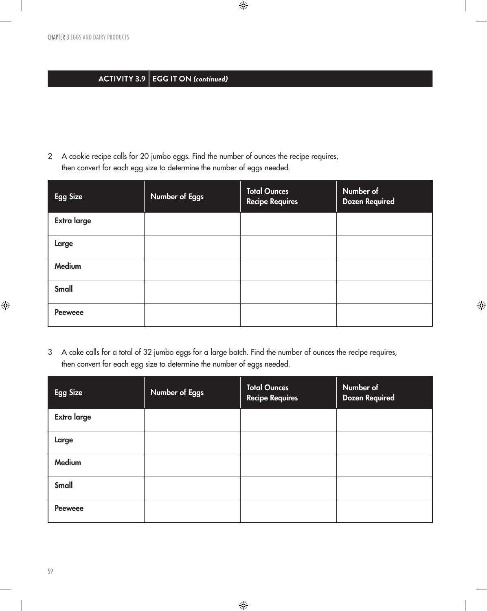## **ACTIVITY 3.9 EGG IT ON** *(continued)*

2 A cookie recipe calls for 20 jumbo eggs. Find the number of ounces the recipe requires, then convert for each egg size to determine the number of eggs needed.

| <b>Egg Size</b>    | <b>Number of Eggs</b> | <b>Total Ounces</b><br><b>Recipe Requires</b> | Number of<br><b>Dozen Required</b> |
|--------------------|-----------------------|-----------------------------------------------|------------------------------------|
| <b>Extra large</b> |                       |                                               |                                    |
| Large              |                       |                                               |                                    |
| <b>Medium</b>      |                       |                                               |                                    |
| <b>Small</b>       |                       |                                               |                                    |
| <b>Peeweee</b>     |                       |                                               |                                    |

 $\bigoplus$ 

 $\bigoplus$ 

3 A cake calls for a total of 32 jumbo eggs for a large batch. Find the number of ounces the recipe requires, then convert for each egg size to determine the number of eggs needed.

| <b>Egg Size</b>    | <b>Number of Eggs</b> | <b>Total Ounces</b><br><b>Recipe Requires</b> | Number of<br><b>Dozen Required</b> |
|--------------------|-----------------------|-----------------------------------------------|------------------------------------|
| <b>Extra large</b> |                       |                                               |                                    |
| Large              |                       |                                               |                                    |
| <b>Medium</b>      |                       |                                               |                                    |
| Small              |                       |                                               |                                    |
| <b>Peeweee</b>     |                       |                                               |                                    |

 $\bigoplus$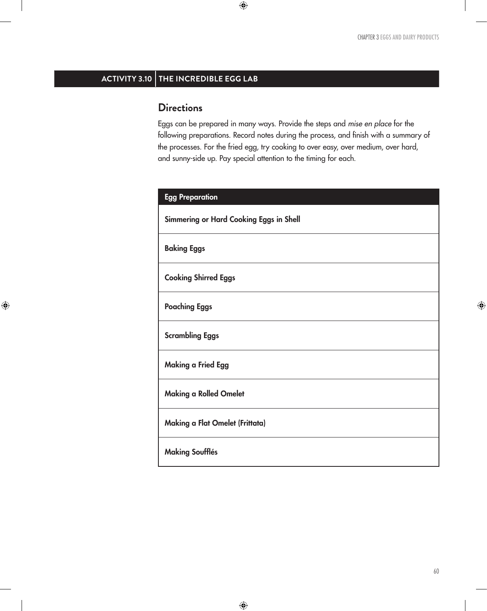## **ACTIVITY 3.10 THE INCREDIBLE EGG LAB**

### **Directions**

 $\bigoplus$ 

Eggs can be prepared in many ways. Provide the steps and *mise en place* for the following preparations. Record notes during the process, and finish with a summary of the processes. For the fried egg, try cooking to over easy, over medium, over hard, and sunny-side up. Pay special attention to the timing for each.

 $\bigoplus$ 

| <b>Egg Preparation</b>                  |
|-----------------------------------------|
| Simmering or Hard Cooking Eggs in Shell |
| <b>Baking Eggs</b>                      |
| <b>Cooking Shirred Eggs</b>             |
| <b>Poaching Eggs</b>                    |
| <b>Scrambling Eggs</b>                  |
| <b>Making a Fried Egg</b>               |
| <b>Making a Rolled Omelet</b>           |
| Making a Flat Omelet (Frittata)         |
| <b>Making Soufflés</b>                  |

 $\bigoplus$ 

⊕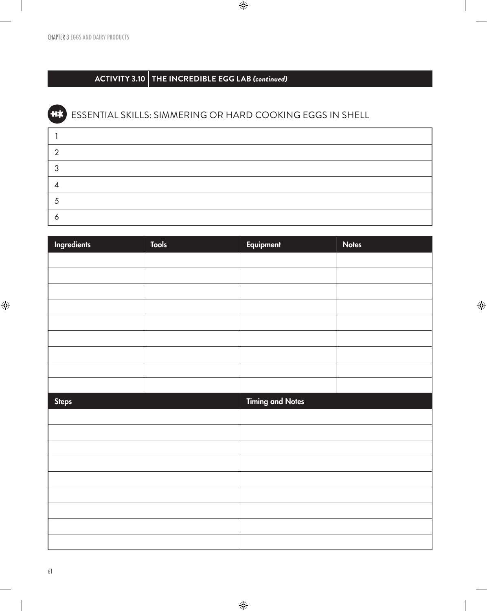## **HE ESSENTIAL SKILLS: SIMMERING OR HARD COOKING EGGS IN SHELL**

 $\bigoplus$ 

| Ingredients  | <b>Tools</b> | Equipment        | <b>Notes</b> |
|--------------|--------------|------------------|--------------|
|              |              |                  |              |
|              |              |                  |              |
|              |              |                  |              |
|              |              |                  |              |
|              |              |                  |              |
|              |              |                  |              |
|              |              |                  |              |
|              |              |                  |              |
|              |              |                  |              |
| <b>Steps</b> |              | Timing and Notes |              |
|              |              |                  |              |
|              |              |                  |              |
|              |              |                  |              |
|              |              |                  |              |
|              |              |                  |              |
|              |              |                  |              |
|              |              |                  |              |
|              |              |                  |              |
|              |              |                  |              |

 $\bigoplus$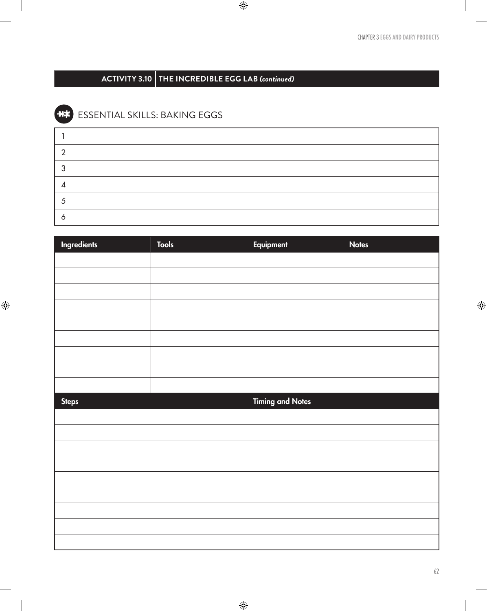$\bigoplus$ 

| <b>ESSENTIAL SKILLS: BAKING EGGS</b> |
|--------------------------------------|
|                                      |
|                                      |
|                                      |
|                                      |
|                                      |
|                                      |

 $\bigoplus$ 

| Ingredients  | <b>Tools</b> | Equipment               | <b>Notes</b> |
|--------------|--------------|-------------------------|--------------|
|              |              |                         |              |
|              |              |                         |              |
|              |              |                         |              |
|              |              |                         |              |
|              |              |                         |              |
|              |              |                         |              |
|              |              |                         |              |
|              |              |                         |              |
|              |              |                         |              |
| <b>Steps</b> |              | <b>Timing and Notes</b> |              |
|              |              |                         |              |
|              |              |                         |              |
|              |              |                         |              |
|              |              |                         |              |
|              |              |                         |              |
|              |              |                         |              |
|              |              |                         |              |
|              |              |                         |              |
|              |              |                         |              |

 $\bigoplus$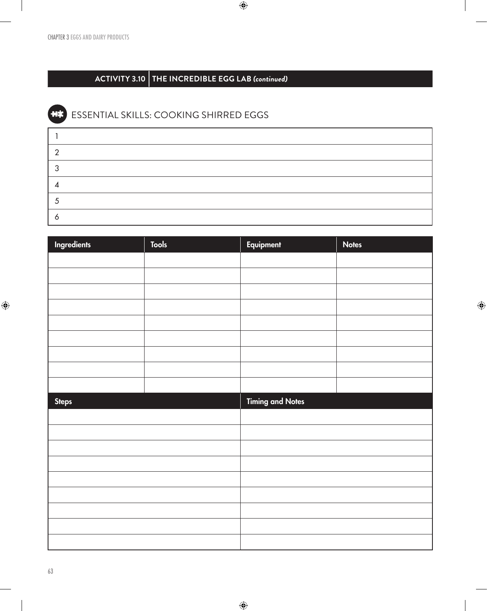| <b>ESSENTIAL SKILLS: COOKING SHIRRED EGGS</b> |
|-----------------------------------------------|
|                                               |
|                                               |
|                                               |
|                                               |
|                                               |
|                                               |

 $\bigoplus$ 

| Ingredients  | <b>Tools</b> | Equipment               | <b>Notes</b> |
|--------------|--------------|-------------------------|--------------|
|              |              |                         |              |
|              |              |                         |              |
|              |              |                         |              |
|              |              |                         |              |
|              |              |                         |              |
|              |              |                         |              |
|              |              |                         |              |
|              |              |                         |              |
|              |              |                         |              |
| <b>Steps</b> |              | <b>Timing and Notes</b> |              |
|              |              |                         |              |
|              |              |                         |              |
|              |              |                         |              |
|              |              |                         |              |
|              |              |                         |              |
|              |              |                         |              |
|              |              |                         |              |
|              |              |                         |              |
|              |              |                         |              |

 $\bigoplus$ 

63

 $\bigoplus$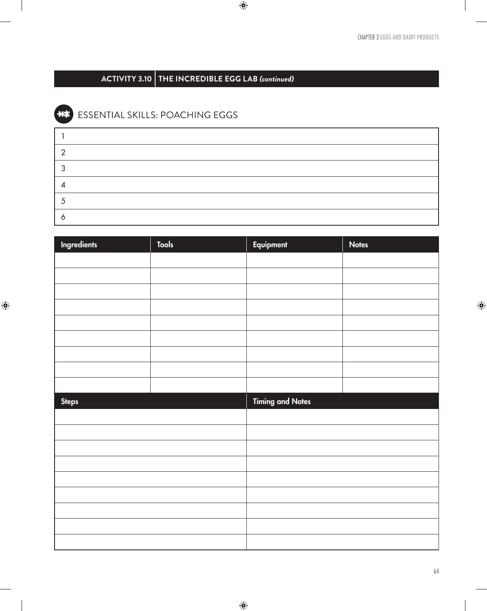$\bigoplus$ 

| <b>HE ESSENTIAL SKILLS: POACHING EGGS</b> |
|-------------------------------------------|
|                                           |
|                                           |
|                                           |
|                                           |
|                                           |
|                                           |

 $\bigoplus$ 

| Ingredients  | <b>Tools</b> | Equipment               | <b>Notes</b> |
|--------------|--------------|-------------------------|--------------|
|              |              |                         |              |
|              |              |                         |              |
|              |              |                         |              |
|              |              |                         |              |
|              |              |                         |              |
|              |              |                         |              |
|              |              |                         |              |
|              |              |                         |              |
|              |              |                         |              |
| <b>Steps</b> |              | <b>Timing and Notes</b> |              |
|              |              |                         |              |
|              |              |                         |              |
|              |              |                         |              |
|              |              |                         |              |
|              |              |                         |              |
|              |              |                         |              |
|              |              |                         |              |
|              |              |                         |              |
|              |              |                         |              |

 $\bigoplus$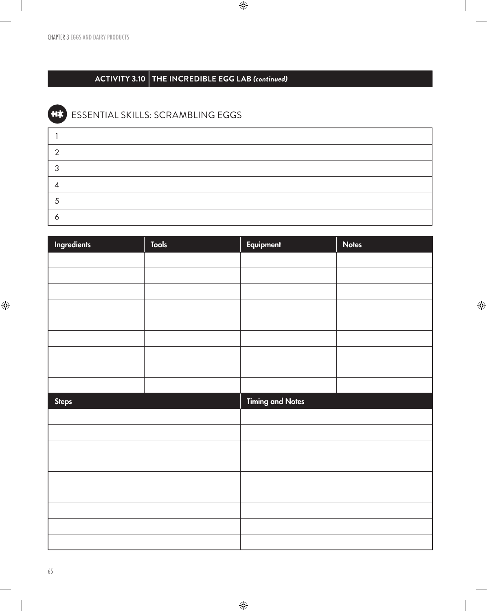| <b>HET</b> ESSENTIAL SKILLS: SCRAMBLING EGGS |
|----------------------------------------------|
|                                              |
|                                              |

 $\bigoplus$ 

| Ingredients  | <b>Tools</b> | Equipment               | <b>Notes</b> |
|--------------|--------------|-------------------------|--------------|
|              |              |                         |              |
|              |              |                         |              |
|              |              |                         |              |
|              |              |                         |              |
|              |              |                         |              |
|              |              |                         |              |
|              |              |                         |              |
|              |              |                         |              |
|              |              |                         |              |
| <b>Steps</b> |              | <b>Timing and Notes</b> |              |
|              |              |                         |              |
|              |              |                         |              |
|              |              |                         |              |
|              |              |                         |              |
|              |              |                         |              |
|              |              |                         |              |
|              |              |                         |              |
|              |              |                         |              |
|              |              |                         |              |

 $\bigoplus$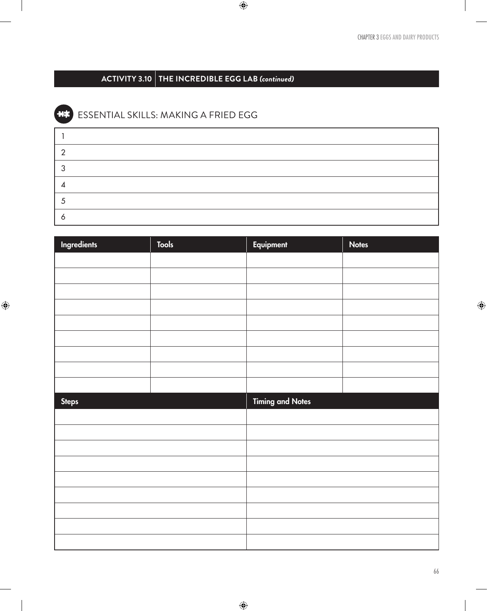$\mathbf{I}$ 

 $\bigoplus$ 

| <b>HET ESSENTIAL SKILLS: MAKING A FRIED EGG</b> |
|-------------------------------------------------|
|                                                 |
|                                                 |
|                                                 |
|                                                 |
|                                                 |
|                                                 |

 $\bigoplus$ 

| Ingredients  | <b>Tools</b> | Equipment        | <b>Notes</b> |
|--------------|--------------|------------------|--------------|
|              |              |                  |              |
|              |              |                  |              |
|              |              |                  |              |
|              |              |                  |              |
|              |              |                  |              |
|              |              |                  |              |
|              |              |                  |              |
|              |              |                  |              |
|              |              |                  |              |
| <b>Steps</b> |              | Timing and Notes |              |
|              |              |                  |              |
|              |              |                  |              |
|              |              |                  |              |
|              |              |                  |              |
|              |              |                  |              |
|              |              |                  |              |
|              |              |                  |              |
|              |              |                  |              |
|              |              |                  |              |

 $\bigoplus$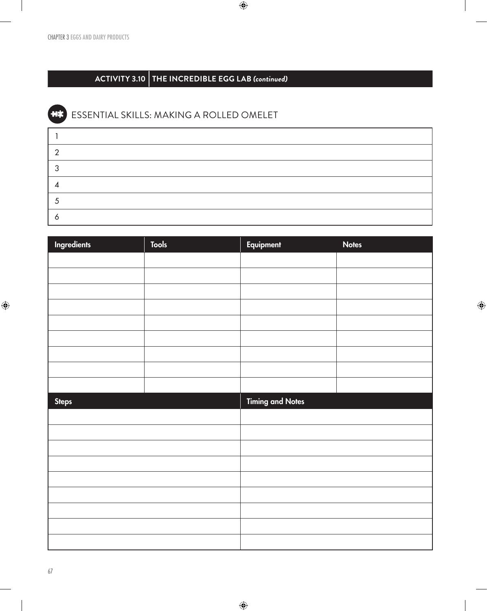| <b>ESSENTIAL SKILLS: MAKING A ROLLED OMELET</b> |
|-------------------------------------------------|
|                                                 |
|                                                 |
|                                                 |
|                                                 |
|                                                 |
|                                                 |

 $\bigoplus$ 

| Ingredients  | <b>Tools</b> | Equipment               | <b>Notes</b> |
|--------------|--------------|-------------------------|--------------|
|              |              |                         |              |
|              |              |                         |              |
|              |              |                         |              |
|              |              |                         |              |
|              |              |                         |              |
|              |              |                         |              |
|              |              |                         |              |
|              |              |                         |              |
|              |              |                         |              |
|              |              |                         |              |
| <b>Steps</b> |              | <b>Timing and Notes</b> |              |
|              |              |                         |              |
|              |              |                         |              |
|              |              |                         |              |
|              |              |                         |              |
|              |              |                         |              |
|              |              |                         |              |
|              |              |                         |              |
|              |              |                         |              |

 $\bigoplus$ 

 $\bigoplus$ 

 $\bigoplus$ 

67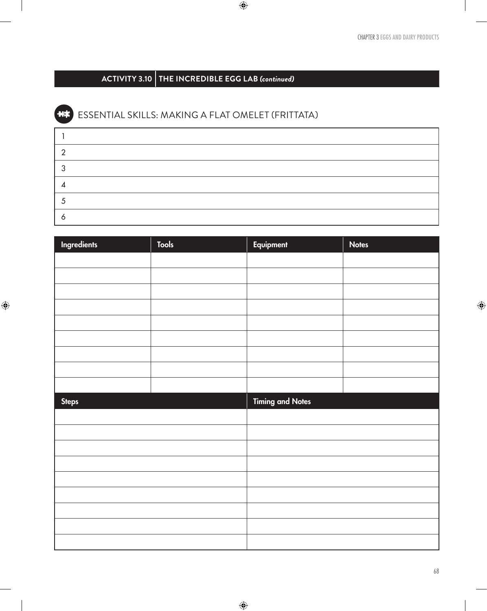$\mathbf{I}$ 

 $\bigoplus$ 

| <b>HE ESSENTIAL SKILLS: MAKING A FLAT OMELET (FRITTATA)</b> |
|-------------------------------------------------------------|
|                                                             |
|                                                             |
|                                                             |
|                                                             |
|                                                             |
|                                                             |

 $\bigoplus$ 

| Ingredients  | <b>Tools</b> | Equipment               | <b>Notes</b> |
|--------------|--------------|-------------------------|--------------|
|              |              |                         |              |
|              |              |                         |              |
|              |              |                         |              |
|              |              |                         |              |
|              |              |                         |              |
|              |              |                         |              |
|              |              |                         |              |
|              |              |                         |              |
|              |              |                         |              |
| <b>Steps</b> |              | <b>Timing and Notes</b> |              |
|              |              |                         |              |
|              |              |                         |              |
|              |              |                         |              |
|              |              |                         |              |
|              |              |                         |              |
|              |              |                         |              |
|              |              |                         |              |
|              |              |                         |              |
|              |              |                         |              |

 $\bigoplus$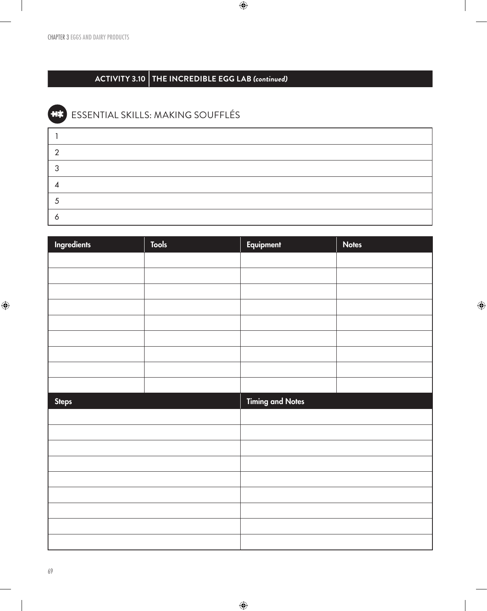| <b>ESSENTIAL SKILLS: MAKING SOUFFLÉS</b> |
|------------------------------------------|
|                                          |
|                                          |
|                                          |
|                                          |
|                                          |
|                                          |

 $\bigoplus$ 

| Ingredients  | <b>Tools</b> | Equipment               | <b>Notes</b> |
|--------------|--------------|-------------------------|--------------|
|              |              |                         |              |
|              |              |                         |              |
|              |              |                         |              |
|              |              |                         |              |
|              |              |                         |              |
|              |              |                         |              |
|              |              |                         |              |
|              |              |                         |              |
|              |              |                         |              |
| <b>Steps</b> |              | <b>Timing and Notes</b> |              |
|              |              |                         |              |
|              |              |                         |              |
|              |              |                         |              |
|              |              |                         |              |
|              |              |                         |              |
|              |              |                         |              |
|              |              |                         |              |
|              |              |                         |              |
|              |              |                         |              |

 $\bigoplus$